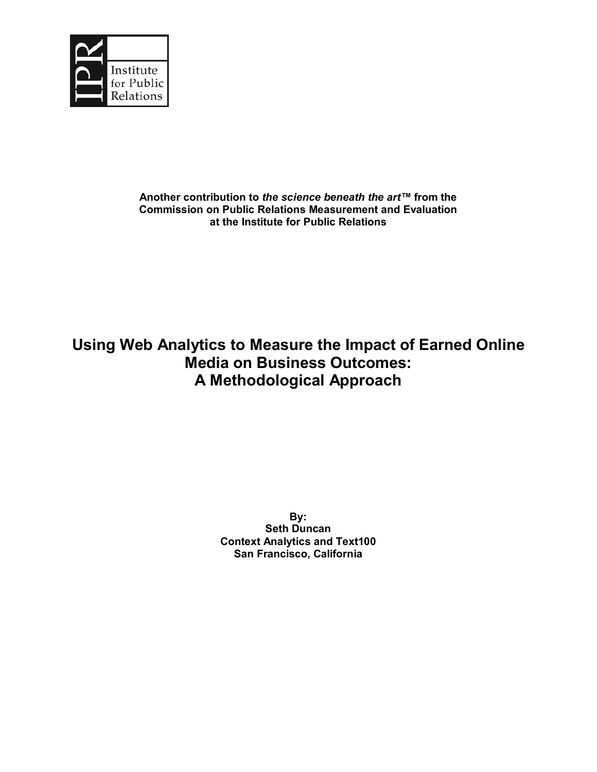

# **Another contribution to the science beneath the art™ from the Commission on Public Relations Measurement and Evaluation at the Institute for Public Relations**

# **Using Web Analytics to Measure the Impact of Earned Online Media on Business Outcomes: A Methodological Approach**

**By: Seth Duncan Context Analytics and Text100 San Francisco, California**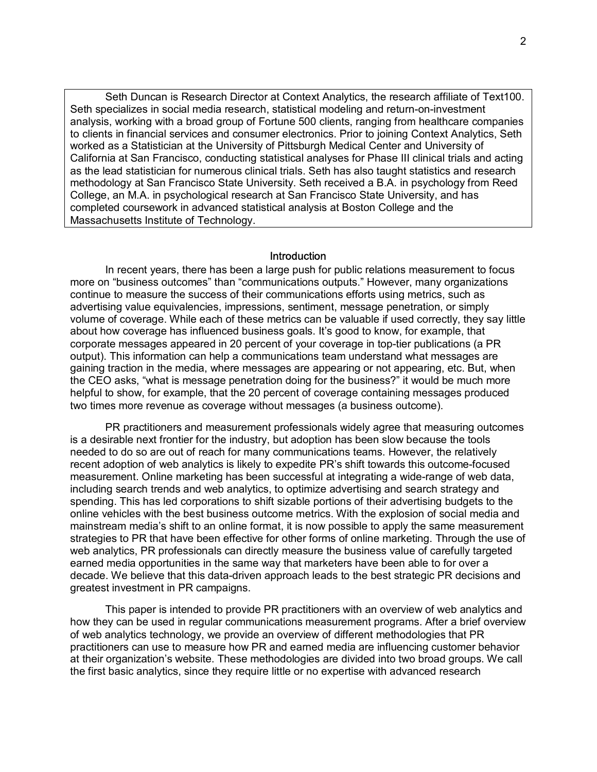Seth Duncan is Research Director at Context Analytics, the research affiliate of Text100. Seth specializes in social media research, statistical modeling and return-on-investment analysis, working with a broad group of Fortune 500 clients, ranging from healthcare companies to clients in financial services and consumer electronics. Prior to joining Context Analytics, Seth worked as a Statistician at the University of Pittsburgh Medical Center and University of California at San Francisco, conducting statistical analyses for Phase III clinical trials and acting as the lead statistician for numerous clinical trials. Seth has also taught statistics and research methodology at San Francisco State University. Seth received a B.A. in psychology from Reed College, an M.A. in psychological research at San Francisco State University, and has completed coursework in advanced statistical analysis at Boston College and the Massachusetts Institute of Technology.

#### Introduction

In recent years, there has been a large push for public relations measurement to focus more on "business outcomes" than "communications outputs." However, many organizations continue to measure the success of their communications efforts using metrics, such as advertising value equivalencies, impressions, sentiment, message penetration, or simply volume of coverage. While each of these metrics can be valuable if used correctly, they say little about how coverage has influenced business goals. Itís good to know, for example, that corporate messages appeared in 20 percent of your coverage in top-tier publications (a PR output). This information can help a communications team understand what messages are gaining traction in the media, where messages are appearing or not appearing, etc. But, when the CEO asks, "what is message penetration doing for the business?" it would be much more helpful to show, for example, that the 20 percent of coverage containing messages produced two times more revenue as coverage without messages (a business outcome).

PR practitioners and measurement professionals widely agree that measuring outcomes is a desirable next frontier for the industry, but adoption has been slow because the tools needed to do so are out of reach for many communications teams. However, the relatively recent adoption of web analytics is likely to expedite PRís shift towards this outcome-focused measurement. Online marketing has been successful at integrating a wide-range of web data, including search trends and web analytics, to optimize advertising and search strategy and spending. This has led corporations to shift sizable portions of their advertising budgets to the online vehicles with the best business outcome metrics. With the explosion of social media and mainstream mediaís shift to an online format, it is now possible to apply the same measurement strategies to PR that have been effective for other forms of online marketing. Through the use of web analytics, PR professionals can directly measure the business value of carefully targeted earned media opportunities in the same way that marketers have been able to for over a decade. We believe that this data-driven approach leads to the best strategic PR decisions and greatest investment in PR campaigns.

This paper is intended to provide PR practitioners with an overview of web analytics and how they can be used in regular communications measurement programs. After a brief overview of web analytics technology, we provide an overview of different methodologies that PR practitioners can use to measure how PR and earned media are influencing customer behavior at their organization's website. These methodologies are divided into two broad groups. We call the first basic analytics, since they require little or no expertise with advanced research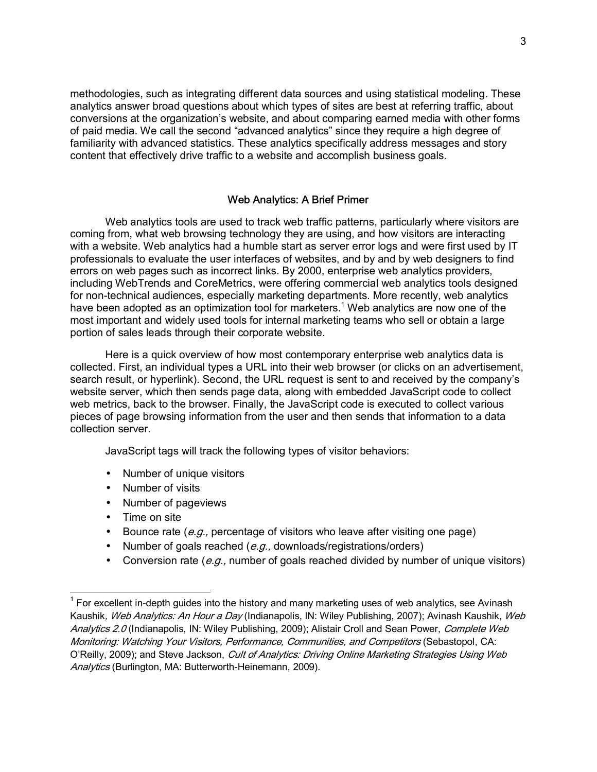methodologies, such as integrating different data sources and using statistical modeling. These analytics answer broad questions about which types of sites are best at referring traffic, about conversions at the organization's website, and about comparing earned media with other forms of paid media. We call the second "advanced analytics" since they require a high degree of familiarity with advanced statistics. These analytics specifically address messages and story content that effectively drive traffic to a website and accomplish business goals.

# Web Analytics: A Brief Primer

Web analytics tools are used to track web traffic patterns, particularly where visitors are coming from, what web browsing technology they are using, and how visitors are interacting with a website. Web analytics had a humble start as server error logs and were first used by IT professionals to evaluate the user interfaces of websites, and by and by web designers to find errors on web pages such as incorrect links. By 2000, enterprise web analytics providers, including WebTrends and CoreMetrics, were offering commercial web analytics tools designed for non-technical audiences, especially marketing departments. More recently, web analytics have been adopted as an optimization tool for marketers.<sup>1</sup> Web analytics are now one of the most important and widely used tools for internal marketing teams who sell or obtain a large portion of sales leads through their corporate website.

Here is a quick overview of how most contemporary enterprise web analytics data is collected. First, an individual types a URL into their web browser (or clicks on an advertisement, search result, or hyperlink). Second, the URL request is sent to and received by the company's website server, which then sends page data, along with embedded JavaScript code to collect web metrics, back to the browser. Finally, the JavaScript code is executed to collect various pieces of page browsing information from the user and then sends that information to a data collection server.

JavaScript tags will track the following types of visitor behaviors:

- Number of unique visitors
- Number of visits
- Number of pageviews
- Time on site

-

- Bounce rate  $(e, q)$ , percentage of visitors who leave after visiting one page)
- Number of goals reached  $(e.g.,$  downloads/registrations/orders)
- Conversion rate (e.g., number of goals reached divided by number of unique visitors)

 $1$  For excellent in-depth guides into the history and many marketing uses of web analytics, see Avinash Kaushik, Web Analytics: An Hour a Day (Indianapolis, IN: Wiley Publishing, 2007); Avinash Kaushik, Web Analytics 2.0 (Indianapolis, IN: Wiley Publishing, 2009); Alistair Croll and Sean Power, Complete Web Monitoring: Watching Your Visitors, Performance, Communities, and Competitors (Sebastopol, CA: O'Reilly, 2009); and Steve Jackson, Cult of Analytics: Driving Online Marketing Strategies Using Web Analytics (Burlington, MA: Butterworth-Heinemann, 2009).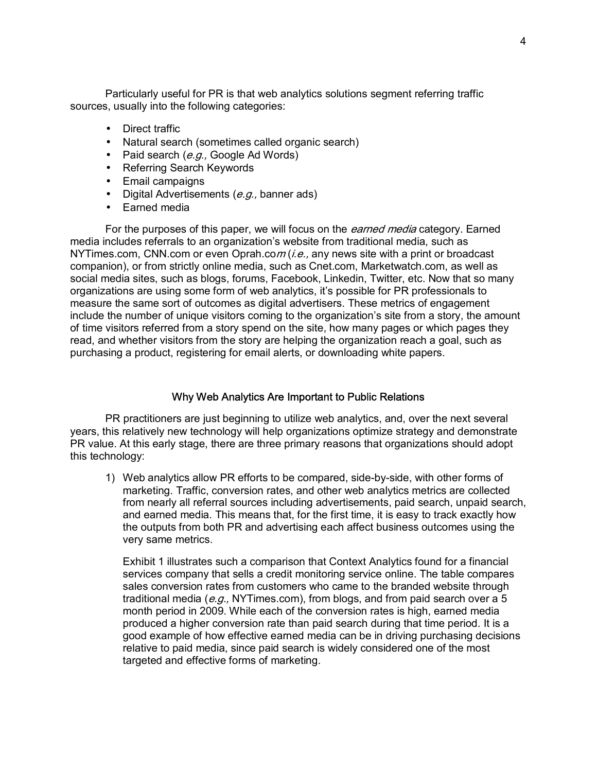Particularly useful for PR is that web analytics solutions segment referring traffic sources, usually into the following categories:

- Direct traffic
- Natural search (sometimes called organic search)
- Paid search  $(e.g., Google Ad Words)$
- Referring Search Keywords
- Email campaigns
- Digital Advertisements  $(e.g.,$  banner ads)
- Earned media

For the purposes of this paper, we will focus on the *earned media* category. Earned media includes referrals to an organization's website from traditional media, such as NYTimes.com, CNN.com or even Oprah.com  $(i.e.,$  any news site with a print or broadcast companion), or from strictly online media, such as Cnet.com, Marketwatch.com, as well as social media sites, such as blogs, forums, Facebook, Linkedin, Twitter, etc. Now that so many organizations are using some form of web analytics, itís possible for PR professionals to measure the same sort of outcomes as digital advertisers. These metrics of engagement include the number of unique visitors coming to the organization's site from a story, the amount of time visitors referred from a story spend on the site, how many pages or which pages they read, and whether visitors from the story are helping the organization reach a goal, such as purchasing a product, registering for email alerts, or downloading white papers.

#### Why Web Analytics Are Important to Public Relations

PR practitioners are just beginning to utilize web analytics, and, over the next several years, this relatively new technology will help organizations optimize strategy and demonstrate PR value. At this early stage, there are three primary reasons that organizations should adopt this technology:

1) Web analytics allow PR efforts to be compared, side-by-side, with other forms of marketing. Traffic, conversion rates, and other web analytics metrics are collected from nearly all referral sources including advertisements, paid search, unpaid search, and earned media. This means that, for the first time, it is easy to track exactly how the outputs from both PR and advertising each affect business outcomes using the very same metrics.

Exhibit 1 illustrates such a comparison that Context Analytics found for a financial services company that sells a credit monitoring service online. The table compares sales conversion rates from customers who came to the branded website through traditional media (e.g., NYTimes.com), from blogs, and from paid search over a 5 month period in 2009. While each of the conversion rates is high, earned media produced a higher conversion rate than paid search during that time period. It is a good example of how effective earned media can be in driving purchasing decisions relative to paid media, since paid search is widely considered one of the most targeted and effective forms of marketing.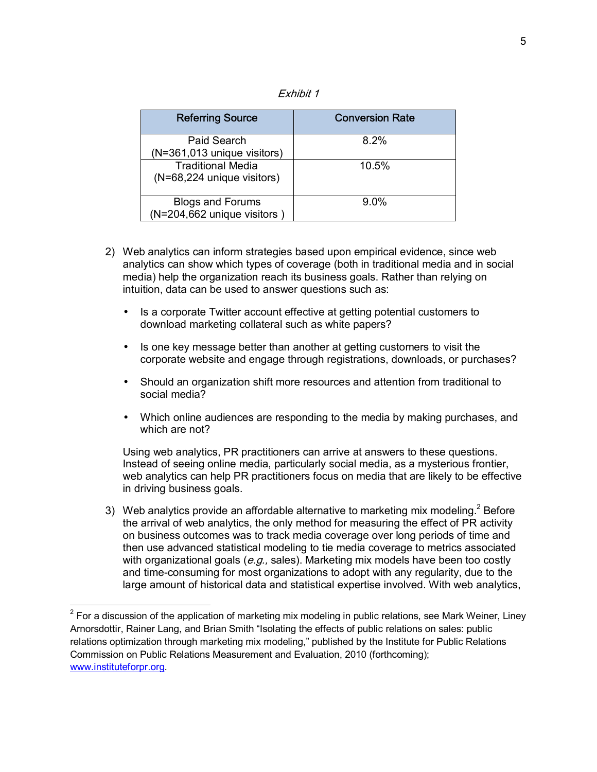| Exhibit |  |
|---------|--|
|---------|--|

| <b>Referring Source</b>     | <b>Conversion Rate</b> |
|-----------------------------|------------------------|
| Paid Search                 | 8.2%                   |
| (N=361,013 unique visitors) |                        |
| <b>Traditional Media</b>    | 10.5%                  |
| (N=68,224 unique visitors)  |                        |
| <b>Blogs and Forums</b>     | $9.0\%$                |
| (N=204,662 unique visitors) |                        |

- 2) Web analytics can inform strategies based upon empirical evidence, since web analytics can show which types of coverage (both in traditional media and in social media) help the organization reach its business goals. Rather than relying on intuition, data can be used to answer questions such as:
	- Is a corporate Twitter account effective at getting potential customers to download marketing collateral such as white papers?
	- Is one key message better than another at getting customers to visit the corporate website and engage through registrations, downloads, or purchases?
	- Should an organization shift more resources and attention from traditional to social media?
	- Which online audiences are responding to the media by making purchases, and which are not?

Using web analytics, PR practitioners can arrive at answers to these questions. Instead of seeing online media, particularly social media, as a mysterious frontier, web analytics can help PR practitioners focus on media that are likely to be effective in driving business goals.

3) Web analytics provide an affordable alternative to marketing mix modeling.<sup>2</sup> Before the arrival of web analytics, the only method for measuring the effect of PR activity on business outcomes was to track media coverage over long periods of time and then use advanced statistical modeling to tie media coverage to metrics associated with organizational goals ( $e.g.,$  sales). Marketing mix models have been too costly and time-consuming for most organizations to adopt with any regularity, due to the large amount of historical data and statistical expertise involved. With web analytics,

-

 $2$  For a discussion of the application of marketing mix modeling in public relations, see Mark Weiner, Liney Arnorsdottir, Rainer Lang, and Brian Smith "Isolating the effects of public relations on sales: public relations optimization through marketing mix modeling," published by the Institute for Public Relations Commission on Public Relations Measurement and Evaluation, 2010 (forthcoming); www.instituteforpr.org.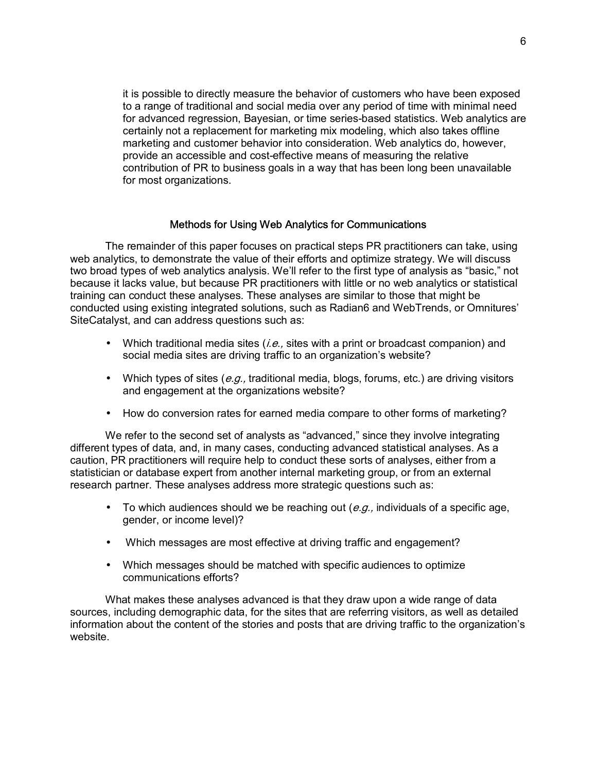it is possible to directly measure the behavior of customers who have been exposed to a range of traditional and social media over any period of time with minimal need for advanced regression, Bayesian, or time series-based statistics. Web analytics are certainly not a replacement for marketing mix modeling, which also takes offline marketing and customer behavior into consideration. Web analytics do, however, provide an accessible and cost-effective means of measuring the relative contribution of PR to business goals in a way that has been long been unavailable for most organizations.

## Methods for Using Web Analytics for Communications

The remainder of this paper focuses on practical steps PR practitioners can take, using web analytics, to demonstrate the value of their efforts and optimize strategy. We will discuss two broad types of web analytics analysis. We'll refer to the first type of analysis as "basic," not because it lacks value, but because PR practitioners with little or no web analytics or statistical training can conduct these analyses. These analyses are similar to those that might be conducted using existing integrated solutions, such as Radian6 and WebTrends, or Omnitures' SiteCatalyst, and can address questions such as:

- Which traditional media sites  $(i.e.,$  sites with a print or broadcast companion) and social media sites are driving traffic to an organization's website?
- Which types of sites ( $e.g.,$  traditional media, blogs, forums, etc.) are driving visitors and engagement at the organizations website?
- How do conversion rates for earned media compare to other forms of marketing?

We refer to the second set of analysts as "advanced," since they involve integrating different types of data, and, in many cases, conducting advanced statistical analyses. As a caution, PR practitioners will require help to conduct these sorts of analyses, either from a statistician or database expert from another internal marketing group, or from an external research partner. These analyses address more strategic questions such as:

- To which audiences should we be reaching out  $(e.g.,$  individuals of a specific age, gender, or income level)?
- Which messages are most effective at driving traffic and engagement?
- Which messages should be matched with specific audiences to optimize communications efforts?

What makes these analyses advanced is that they draw upon a wide range of data sources, including demographic data, for the sites that are referring visitors, as well as detailed information about the content of the stories and posts that are driving traffic to the organization's website.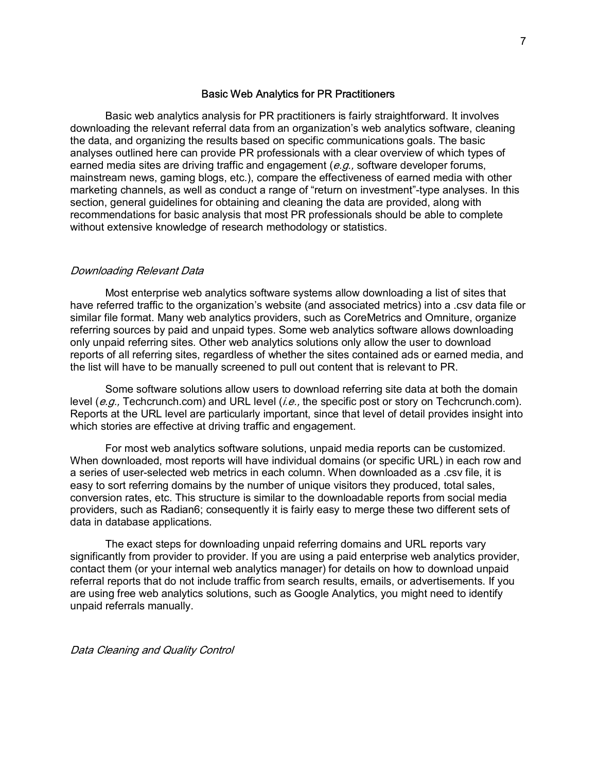#### Basic Web Analytics for PR Practitioners

Basic web analytics analysis for PR practitioners is fairly straightforward. It involves downloading the relevant referral data from an organization's web analytics software, cleaning the data, and organizing the results based on specific communications goals. The basic analyses outlined here can provide PR professionals with a clear overview of which types of earned media sites are driving traffic and engagement  $(e.g.,)$  software developer forums, mainstream news, gaming blogs, etc.), compare the effectiveness of earned media with other marketing channels, as well as conduct a range of "return on investment"-type analyses. In this section, general guidelines for obtaining and cleaning the data are provided, along with recommendations for basic analysis that most PR professionals should be able to complete without extensive knowledge of research methodology or statistics.

#### Downloading Relevant Data

Most enterprise web analytics software systems allow downloading a list of sites that have referred traffic to the organization's website (and associated metrics) into a .csv data file or similar file format. Many web analytics providers, such as CoreMetrics and Omniture, organize referring sources by paid and unpaid types. Some web analytics software allows downloading only unpaid referring sites. Other web analytics solutions only allow the user to download reports of all referring sites, regardless of whether the sites contained ads or earned media, and the list will have to be manually screened to pull out content that is relevant to PR.

Some software solutions allow users to download referring site data at both the domain level (e.g., Techcrunch.com) and URL level (*i.e.*, the specific post or story on Techcrunch.com). Reports at the URL level are particularly important, since that level of detail provides insight into which stories are effective at driving traffic and engagement.

For most web analytics software solutions, unpaid media reports can be customized. When downloaded, most reports will have individual domains (or specific URL) in each row and a series of user-selected web metrics in each column. When downloaded as a .csv file, it is easy to sort referring domains by the number of unique visitors they produced, total sales, conversion rates, etc. This structure is similar to the downloadable reports from social media providers, such as Radian6; consequently it is fairly easy to merge these two different sets of data in database applications.

The exact steps for downloading unpaid referring domains and URL reports vary significantly from provider to provider. If you are using a paid enterprise web analytics provider, contact them (or your internal web analytics manager) for details on how to download unpaid referral reports that do not include traffic from search results, emails, or advertisements. If you are using free web analytics solutions, such as Google Analytics, you might need to identify unpaid referrals manually.

Data Cleaning and Quality Control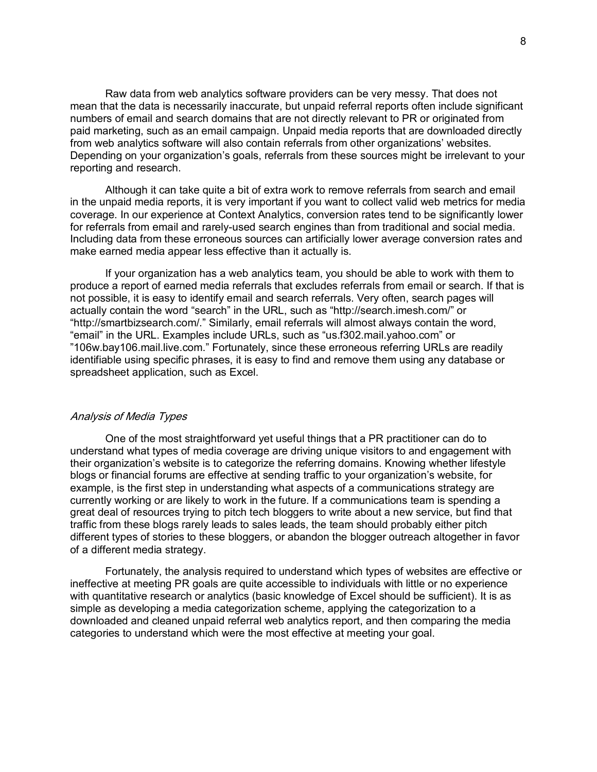Raw data from web analytics software providers can be very messy. That does not mean that the data is necessarily inaccurate, but unpaid referral reports often include significant numbers of email and search domains that are not directly relevant to PR or originated from paid marketing, such as an email campaign. Unpaid media reports that are downloaded directly from web analytics software will also contain referrals from other organizations' websites. Depending on your organization's goals, referrals from these sources might be irrelevant to your reporting and research.

Although it can take quite a bit of extra work to remove referrals from search and email in the unpaid media reports, it is very important if you want to collect valid web metrics for media coverage. In our experience at Context Analytics, conversion rates tend to be significantly lower for referrals from email and rarely-used search engines than from traditional and social media. Including data from these erroneous sources can artificially lower average conversion rates and make earned media appear less effective than it actually is.

If your organization has a web analytics team, you should be able to work with them to produce a report of earned media referrals that excludes referrals from email or search. If that is not possible, it is easy to identify email and search referrals. Very often, search pages will actually contain the word "search" in the URL, such as "http://search.imesh.com/" or "http://smartbizsearch.com/." Similarly, email referrals will almost always contain the word, "email" in the URL. Examples include URLs, such as "us.f302.mail.yahoo.com" or î106w.bay106.mail.live.com.î Fortunately, since these erroneous referring URLs are readily identifiable using specific phrases, it is easy to find and remove them using any database or spreadsheet application, such as Excel.

#### Analysis of Media Types

One of the most straightforward yet useful things that a PR practitioner can do to understand what types of media coverage are driving unique visitors to and engagement with their organizationís website is to categorize the referring domains. Knowing whether lifestyle blogs or financial forums are effective at sending traffic to your organization's website, for example, is the first step in understanding what aspects of a communications strategy are currently working or are likely to work in the future. If a communications team is spending a great deal of resources trying to pitch tech bloggers to write about a new service, but find that traffic from these blogs rarely leads to sales leads, the team should probably either pitch different types of stories to these bloggers, or abandon the blogger outreach altogether in favor of a different media strategy.

Fortunately, the analysis required to understand which types of websites are effective or ineffective at meeting PR goals are quite accessible to individuals with little or no experience with quantitative research or analytics (basic knowledge of Excel should be sufficient). It is as simple as developing a media categorization scheme, applying the categorization to a downloaded and cleaned unpaid referral web analytics report, and then comparing the media categories to understand which were the most effective at meeting your goal.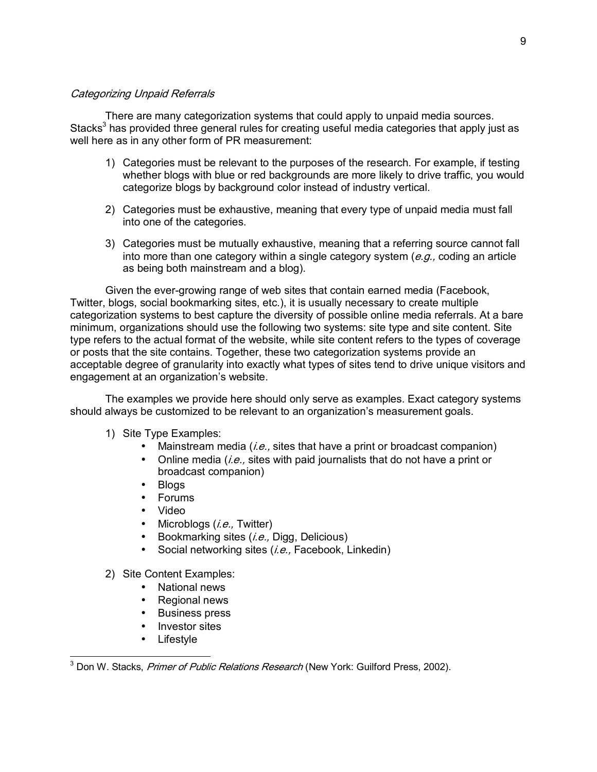# Categorizing Unpaid Referrals

There are many categorization systems that could apply to unpaid media sources. Stacks<sup>3</sup> has provided three general rules for creating useful media categories that apply just as well here as in any other form of PR measurement:

- 1) Categories must be relevant to the purposes of the research. For example, if testing whether blogs with blue or red backgrounds are more likely to drive traffic, you would categorize blogs by background color instead of industry vertical.
- 2) Categories must be exhaustive, meaning that every type of unpaid media must fall into one of the categories.
- 3) Categories must be mutually exhaustive, meaning that a referring source cannot fall into more than one category within a single category system  $(e.g.,$  coding an article as being both mainstream and a blog).

Given the ever-growing range of web sites that contain earned media (Facebook, Twitter, blogs, social bookmarking sites, etc.), it is usually necessary to create multiple categorization systems to best capture the diversity of possible online media referrals. At a bare minimum, organizations should use the following two systems: site type and site content. Site type refers to the actual format of the website, while site content refers to the types of coverage or posts that the site contains. Together, these two categorization systems provide an acceptable degree of granularity into exactly what types of sites tend to drive unique visitors and engagement at an organization's website.

The examples we provide here should only serve as examples. Exact category systems should always be customized to be relevant to an organization's measurement goals.

- 1) Site Type Examples:
	- Mainstream media  $(i.e.,$  sites that have a print or broadcast companion)
	- Online media (*i.e.*, sites with paid journalists that do not have a print or broadcast companion)
	- Blogs
	- Forums
	- Video
	- Microblogs  $(i.e.,$  Twitter)
	- Bookmarking sites  $(i.e., Diqa, Delicious)$
	- Social networking sites  $(i.e.,$  Facebook, Linkedin)
- 2) Site Content Examples:
	- National news
	- Regional news
	- Business press
	- Investor sites
	- Lifestyle

 3 Don W. Stacks, Primer of Public Relations Research (New York: Guilford Press, 2002).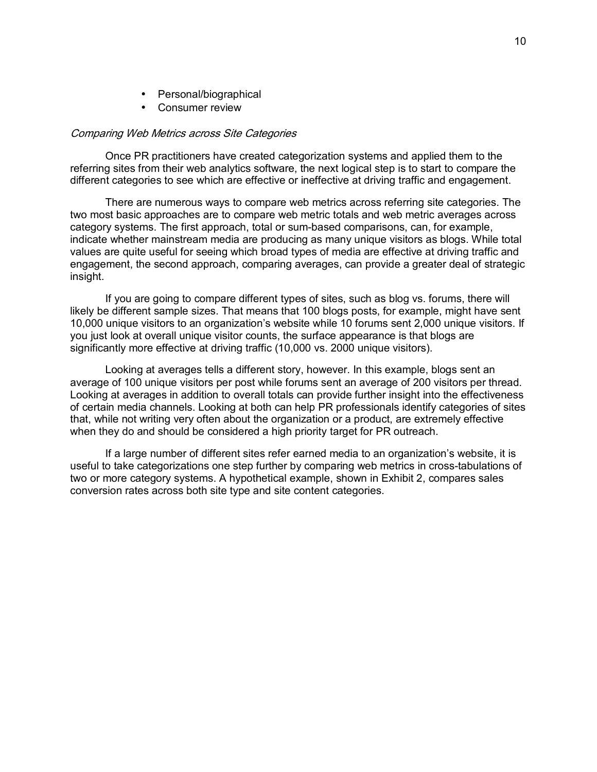- Personal/biographical
- Consumer review

# Comparing Web Metrics across Site Categories

Once PR practitioners have created categorization systems and applied them to the referring sites from their web analytics software, the next logical step is to start to compare the different categories to see which are effective or ineffective at driving traffic and engagement.

There are numerous ways to compare web metrics across referring site categories. The two most basic approaches are to compare web metric totals and web metric averages across category systems. The first approach, total or sum-based comparisons, can, for example, indicate whether mainstream media are producing as many unique visitors as blogs. While total values are quite useful for seeing which broad types of media are effective at driving traffic and engagement, the second approach, comparing averages, can provide a greater deal of strategic insight.

If you are going to compare different types of sites, such as blog vs. forums, there will likely be different sample sizes. That means that 100 blogs posts, for example, might have sent 10,000 unique visitors to an organization's website while 10 forums sent 2,000 unique visitors. If you just look at overall unique visitor counts, the surface appearance is that blogs are significantly more effective at driving traffic (10,000 vs. 2000 unique visitors).

Looking at averages tells a different story, however. In this example, blogs sent an average of 100 unique visitors per post while forums sent an average of 200 visitors per thread. Looking at averages in addition to overall totals can provide further insight into the effectiveness of certain media channels. Looking at both can help PR professionals identify categories of sites that, while not writing very often about the organization or a product, are extremely effective when they do and should be considered a high priority target for PR outreach.

If a large number of different sites refer earned media to an organization's website, it is useful to take categorizations one step further by comparing web metrics in cross-tabulations of two or more category systems. A hypothetical example, shown in Exhibit 2, compares sales conversion rates across both site type and site content categories.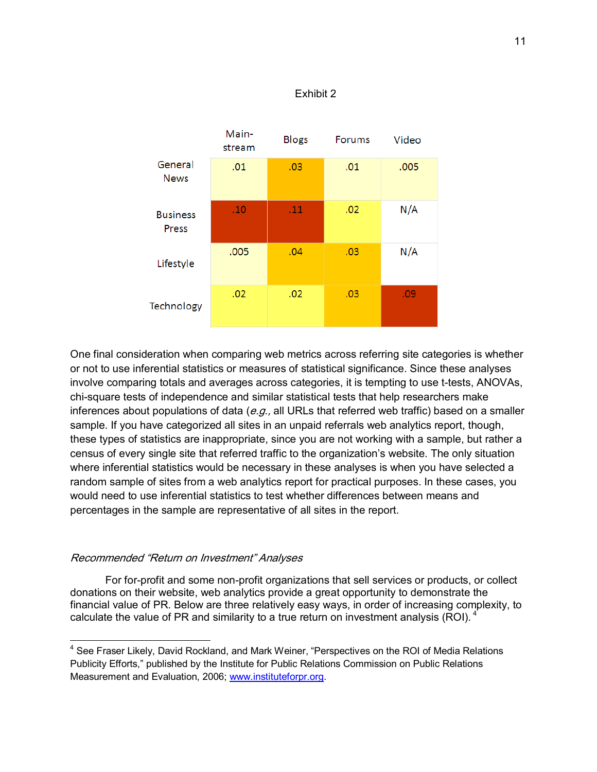

# Exhibit 2

One final consideration when comparing web metrics across referring site categories is whether or not to use inferential statistics or measures of statistical significance. Since these analyses involve comparing totals and averages across categories, it is tempting to use t-tests, ANOVAs, chi-square tests of independence and similar statistical tests that help researchers make inferences about populations of data  $(e.g.,$  all URLs that referred web traffic) based on a smaller sample. If you have categorized all sites in an unpaid referrals web analytics report, though, these types of statistics are inappropriate, since you are not working with a sample, but rather a census of every single site that referred traffic to the organization's website. The only situation where inferential statistics would be necessary in these analyses is when you have selected a random sample of sites from a web analytics report for practical purposes. In these cases, you would need to use inferential statistics to test whether differences between means and percentages in the sample are representative of all sites in the report.

## Recommended "Return on Investment" Analyses

 $\overline{a}$ 

For for-profit and some non-profit organizations that sell services or products, or collect donations on their website, web analytics provide a great opportunity to demonstrate the financial value of PR. Below are three relatively easy ways, in order of increasing complexity, to calculate the value of PR and similarity to a true return on investment analysis (ROI).  $4^{\circ}$ 

<sup>&</sup>lt;sup>4</sup> See Fraser Likely, David Rockland, and Mark Weiner, "Perspectives on the ROI of Media Relations Publicity Efforts," published by the Institute for Public Relations Commission on Public Relations Measurement and Evaluation, 2006; www.instituteforpr.org.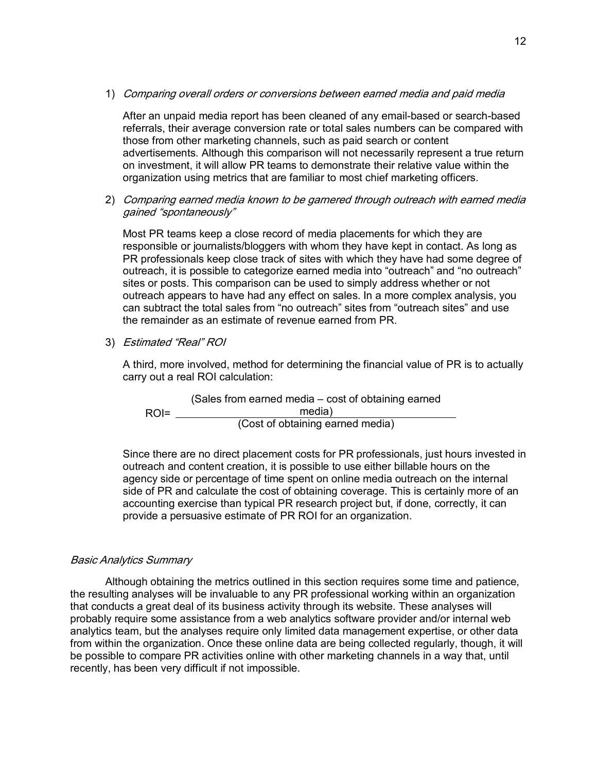1) Comparing overall orders or conversions between earned media and paid media

After an unpaid media report has been cleaned of any email-based or search-based referrals, their average conversion rate or total sales numbers can be compared with those from other marketing channels, such as paid search or content advertisements. Although this comparison will not necessarily represent a true return on investment, it will allow PR teams to demonstrate their relative value within the organization using metrics that are familiar to most chief marketing officers.

2) Comparing earned media known to be garnered through outreach with earned media gained "spontaneously"

Most PR teams keep a close record of media placements for which they are responsible or journalists/bloggers with whom they have kept in contact. As long as PR professionals keep close track of sites with which they have had some degree of outreach, it is possible to categorize earned media into "outreach" and "no outreach" sites or posts. This comparison can be used to simply address whether or not outreach appears to have had any effect on sales. In a more complex analysis, you can subtract the total sales from "no outreach" sites from "outreach sites" and use the remainder as an estimate of revenue earned from PR.

3) Estimated "Real" ROI

A third, more involved, method for determining the financial value of PR is to actually carry out a real ROI calculation:

(Sales from earned media  $-$  cost of obtaining earned ROI= media) (Cost of obtaining earned media)

Since there are no direct placement costs for PR professionals, just hours invested in outreach and content creation, it is possible to use either billable hours on the agency side or percentage of time spent on online media outreach on the internal side of PR and calculate the cost of obtaining coverage. This is certainly more of an accounting exercise than typical PR research project but, if done, correctly, it can provide a persuasive estimate of PR ROI for an organization.

# Basic Analytics Summary

Although obtaining the metrics outlined in this section requires some time and patience, the resulting analyses will be invaluable to any PR professional working within an organization that conducts a great deal of its business activity through its website. These analyses will probably require some assistance from a web analytics software provider and/or internal web analytics team, but the analyses require only limited data management expertise, or other data from within the organization. Once these online data are being collected regularly, though, it will be possible to compare PR activities online with other marketing channels in a way that, until recently, has been very difficult if not impossible.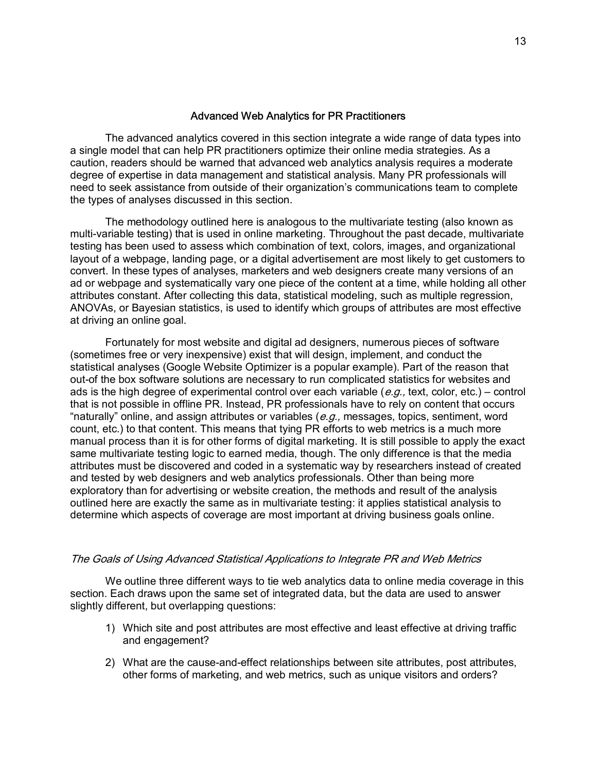## Advanced Web Analytics for PR Practitioners

The advanced analytics covered in this section integrate a wide range of data types into a single model that can help PR practitioners optimize their online media strategies. As a caution, readers should be warned that advanced web analytics analysis requires a moderate degree of expertise in data management and statistical analysis. Many PR professionals will need to seek assistance from outside of their organization's communications team to complete the types of analyses discussed in this section.

The methodology outlined here is analogous to the multivariate testing (also known as multi-variable testing) that is used in online marketing. Throughout the past decade, multivariate testing has been used to assess which combination of text, colors, images, and organizational layout of a webpage, landing page, or a digital advertisement are most likely to get customers to convert. In these types of analyses, marketers and web designers create many versions of an ad or webpage and systematically vary one piece of the content at a time, while holding all other attributes constant. After collecting this data, statistical modeling, such as multiple regression, ANOVAs, or Bayesian statistics, is used to identify which groups of attributes are most effective at driving an online goal.

Fortunately for most website and digital ad designers, numerous pieces of software (sometimes free or very inexpensive) exist that will design, implement, and conduct the statistical analyses (Google Website Optimizer is a popular example). Part of the reason that out-of the box software solutions are necessary to run complicated statistics for websites and ads is the high degree of experimental control over each variable (e.g., text, color, etc.) – control that is not possible in offline PR. Instead, PR professionals have to rely on content that occurs "naturally" online, and assign attributes or variables ( $e.g.,$  messages, topics, sentiment, word count, etc.) to that content. This means that tying PR efforts to web metrics is a much more manual process than it is for other forms of digital marketing. It is still possible to apply the exact same multivariate testing logic to earned media, though. The only difference is that the media attributes must be discovered and coded in a systematic way by researchers instead of created and tested by web designers and web analytics professionals. Other than being more exploratory than for advertising or website creation, the methods and result of the analysis outlined here are exactly the same as in multivariate testing: it applies statistical analysis to determine which aspects of coverage are most important at driving business goals online.

## The Goals of Using Advanced Statistical Applications to Integrate PR and Web Metrics

We outline three different ways to tie web analytics data to online media coverage in this section. Each draws upon the same set of integrated data, but the data are used to answer slightly different, but overlapping questions:

- 1) Which site and post attributes are most effective and least effective at driving traffic and engagement?
- 2) What are the cause-and-effect relationships between site attributes, post attributes, other forms of marketing, and web metrics, such as unique visitors and orders?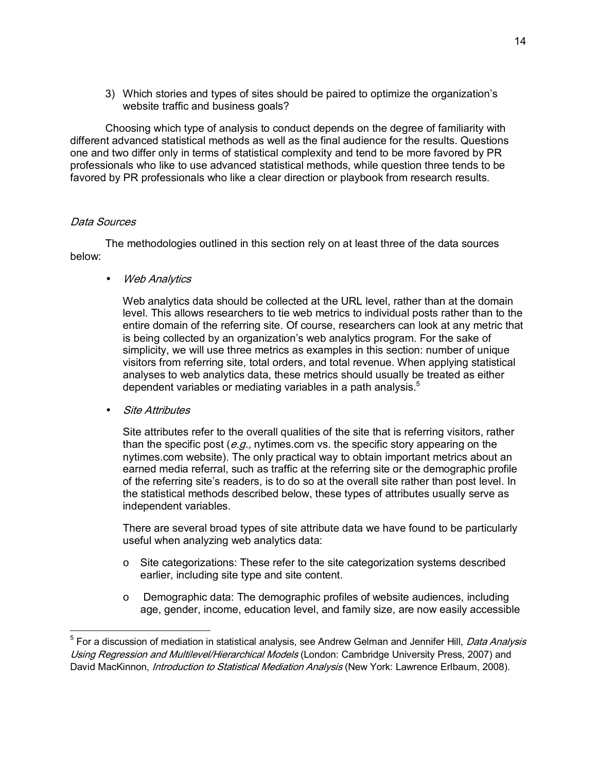3) Which stories and types of sites should be paired to optimize the organizationís website traffic and business goals?

Choosing which type of analysis to conduct depends on the degree of familiarity with different advanced statistical methods as well as the final audience for the results. Questions one and two differ only in terms of statistical complexity and tend to be more favored by PR professionals who like to use advanced statistical methods, while question three tends to be favored by PR professionals who like a clear direction or playbook from research results.

# Data Sources

 $\overline{a}$ 

The methodologies outlined in this section rely on at least three of the data sources below:

• Web Analytics

Web analytics data should be collected at the URL level, rather than at the domain level. This allows researchers to tie web metrics to individual posts rather than to the entire domain of the referring site. Of course, researchers can look at any metric that is being collected by an organization's web analytics program. For the sake of simplicity, we will use three metrics as examples in this section: number of unique visitors from referring site, total orders, and total revenue. When applying statistical analyses to web analytics data, these metrics should usually be treated as either dependent variables or mediating variables in a path analysis.<sup>5</sup>

• Site Attributes

Site attributes refer to the overall qualities of the site that is referring visitors, rather than the specific post ( $e.g.,$  nytimes.com vs. the specific story appearing on the nytimes.com website). The only practical way to obtain important metrics about an earned media referral, such as traffic at the referring site or the demographic profile of the referring site's readers, is to do so at the overall site rather than post level. In the statistical methods described below, these types of attributes usually serve as independent variables.

There are several broad types of site attribute data we have found to be particularly useful when analyzing web analytics data:

- o Site categorizations: These refer to the site categorization systems described earlier, including site type and site content.
- $\circ$  Demographic data: The demographic profiles of website audiences, including age, gender, income, education level, and family size, are now easily accessible

<sup>&</sup>lt;sup>5</sup> For a discussion of mediation in statistical analysis, see Andrew Gelman and Jennifer Hill, *Data Analysis* Using Regression and Multilevel/Hierarchical Models (London: Cambridge University Press, 2007) and David MacKinnon, *Introduction to Statistical Mediation Analysis* (New York: Lawrence Erlbaum, 2008).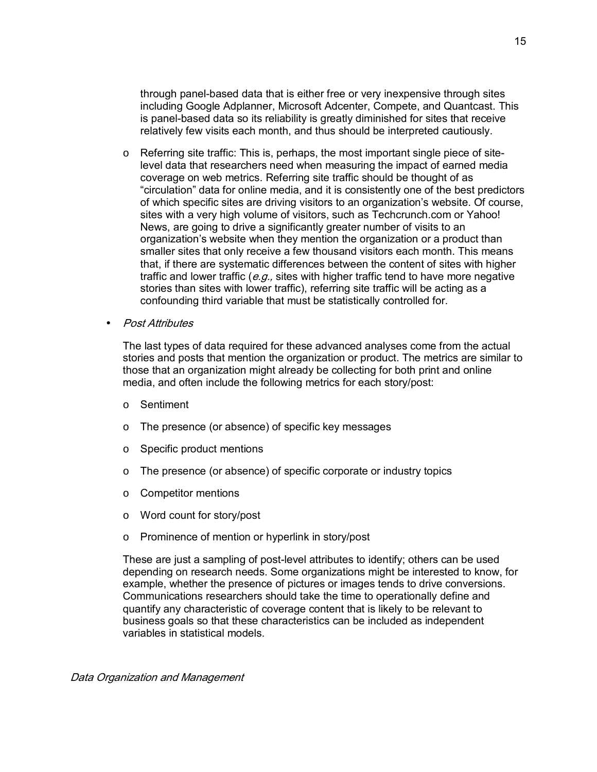through panel-based data that is either free or very inexpensive through sites including Google Adplanner, Microsoft Adcenter, Compete, and Quantcast. This is panel-based data so its reliability is greatly diminished for sites that receive relatively few visits each month, and thus should be interpreted cautiously.

- o Referring site traffic: This is, perhaps, the most important single piece of sitelevel data that researchers need when measuring the impact of earned media coverage on web metrics. Referring site traffic should be thought of as ìcirculationî data for online media, and it is consistently one of the best predictors of which specific sites are driving visitors to an organizationís website. Of course, sites with a very high volume of visitors, such as Techcrunch.com or Yahoo! News, are going to drive a significantly greater number of visits to an organizationís website when they mention the organization or a product than smaller sites that only receive a few thousand visitors each month. This means that, if there are systematic differences between the content of sites with higher traffic and lower traffic ( $e.g.,$  sites with higher traffic tend to have more negative stories than sites with lower traffic), referring site traffic will be acting as a confounding third variable that must be statistically controlled for.
- Post Attributes

The last types of data required for these advanced analyses come from the actual stories and posts that mention the organization or product. The metrics are similar to those that an organization might already be collecting for both print and online media, and often include the following metrics for each story/post:

- o Sentiment
- o The presence (or absence) of specific key messages
- o Specific product mentions
- o The presence (or absence) of specific corporate or industry topics
- o Competitor mentions
- o Word count for story/post
- o Prominence of mention or hyperlink in story/post

These are just a sampling of post-level attributes to identify; others can be used depending on research needs. Some organizations might be interested to know, for example, whether the presence of pictures or images tends to drive conversions. Communications researchers should take the time to operationally define and quantify any characteristic of coverage content that is likely to be relevant to business goals so that these characteristics can be included as independent variables in statistical models.

Data Organization and Management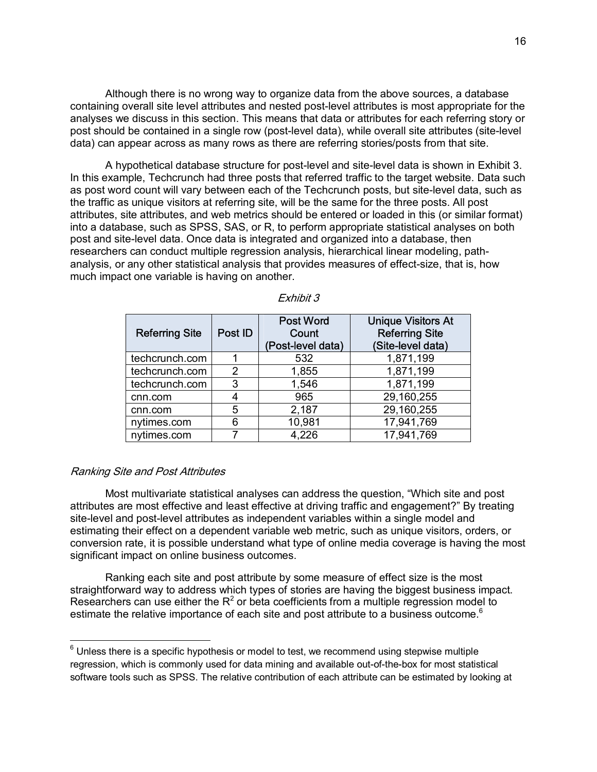Although there is no wrong way to organize data from the above sources, a database containing overall site level attributes and nested post-level attributes is most appropriate for the analyses we discuss in this section. This means that data or attributes for each referring story or post should be contained in a single row (post-level data), while overall site attributes (site-level data) can appear across as many rows as there are referring stories/posts from that site.

A hypothetical database structure for post-level and site-level data is shown in Exhibit 3. In this example, Techcrunch had three posts that referred traffic to the target website. Data such as post word count will vary between each of the Techcrunch posts, but site-level data, such as the traffic as unique visitors at referring site, will be the same for the three posts. All post attributes, site attributes, and web metrics should be entered or loaded in this (or similar format) into a database, such as SPSS, SAS, or R, to perform appropriate statistical analyses on both post and site-level data. Once data is integrated and organized into a database, then researchers can conduct multiple regression analysis, hierarchical linear modeling, pathanalysis, or any other statistical analysis that provides measures of effect-size, that is, how much impact one variable is having on another.

| <b>Referring Site</b> | Post ID | <b>Post Word</b><br>Count<br>(Post-level data) | <b>Unique Visitors At</b><br><b>Referring Site</b><br>(Site-level data) |
|-----------------------|---------|------------------------------------------------|-------------------------------------------------------------------------|
| techcrunch.com        |         | 532                                            | 1,871,199                                                               |
| techcrunch.com        | 2       | 1,855                                          | 1,871,199                                                               |
| techcrunch.com        | 3       | 1,546                                          | 1,871,199                                                               |
| cnn.com               | 4       | 965                                            | 29,160,255                                                              |
| cnn.com               | 5       | 2,187                                          | 29,160,255                                                              |
| nytimes.com           | 6       | 10,981                                         | 17,941,769                                                              |
| nytimes.com           |         | 4,226                                          | 17,941,769                                                              |

# Ranking Site and Post Attributes

Most multivariate statistical analyses can address the question, "Which site and post attributes are most effective and least effective at driving traffic and engagement?" By treating site-level and post-level attributes as independent variables within a single model and estimating their effect on a dependent variable web metric, such as unique visitors, orders, or conversion rate, it is possible understand what type of online media coverage is having the most significant impact on online business outcomes.

Ranking each site and post attribute by some measure of effect size is the most straightforward way to address which types of stories are having the biggest business impact. Researchers can use either the  $R^2$  or beta coefficients from a multiple regression model to estimate the relative importance of each site and post attribute to a business outcome.<sup>6</sup>

 $6$  Unless there is a specific hypothesis or model to test, we recommend using stepwise multiple regression, which is commonly used for data mining and available out-of-the-box for most statistical software tools such as SPSS. The relative contribution of each attribute can be estimated by looking at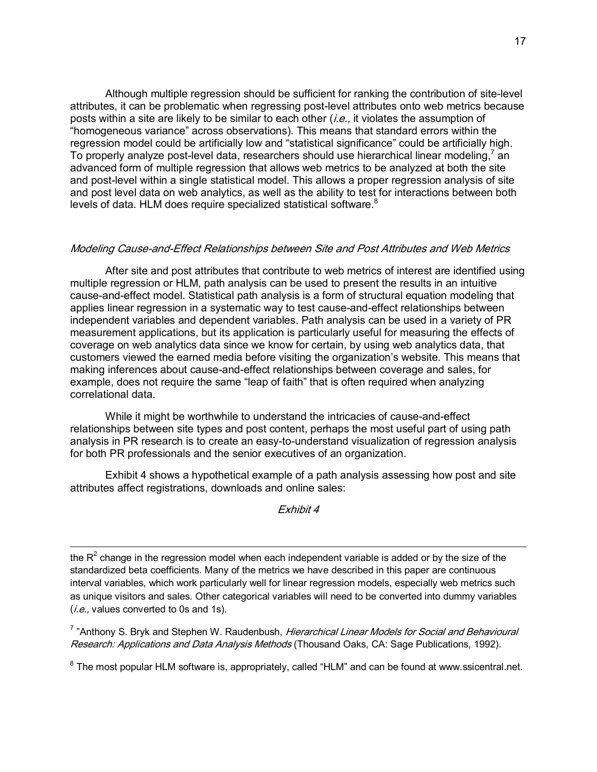Although multiple regression should be sufficient for ranking the contribution of site-level attributes, it can be problematic when regressing post-level attributes onto web metrics because posts within a site are likely to be similar to each other  $(i.e.,$  it violates the assumption of ìhomogeneous varianceî across observations). This means that standard errors within the regression model could be artificially low and "statistical significance" could be artificially high. To properly analyze post-level data, researchers should use hierarchical linear modeling,<sup>7</sup> an advanced form of multiple regression that allows web metrics to be analyzed at both the site and post-level within a single statistical model. This allows a proper regression analysis of site and post level data on web analytics, as well as the ability to test for interactions between both levels of data. HLM does require specialized statistical software.<sup>8</sup>

## Modeling Cause-and-Effect Relationships between Site and Post Attributes and Web Metrics

After site and post attributes that contribute to web metrics of interest are identified using multiple regression or HLM, path analysis can be used to present the results in an intuitive cause-and-effect model. Statistical path analysis is a form of structural equation modeling that applies linear regression in a systematic way to test cause-and-effect relationships between independent variables and dependent variables. Path analysis can be used in a variety of PR measurement applications, but its application is particularly useful for measuring the effects of coverage on web analytics data since we know for certain, by using web analytics data, that customers viewed the earned media before visiting the organization's website. This means that making inferences about cause-and-effect relationships between coverage and sales, for example, does not require the same "leap of faith" that is often required when analyzing correlational data.

While it might be worthwhile to understand the intricacies of cause-and-effect relationships between site types and post content, perhaps the most useful part of using path analysis in PR research is to create an easy-to-understand visualization of regression analysis for both PR professionals and the senior executives of an organization.

Exhibit 4 shows a hypothetical example of a path analysis assessing how post and site attributes affect registrations, downloads and online sales:

#### Exhibit 4

the R<sup>2</sup> change in the regression model when each independent variable is added or by the size of the standardized beta coefficients. Many of the metrics we have described in this paper are continuous interval variables, which work particularly well for linear regression models, especially web metrics such as unique visitors and sales. Other categorical variables will need to be converted into dummy variables  $(i.e., values converted to 0s and 1s).$ 

<sup>7</sup> "Anthony S. Bryk and Stephen W. Raudenbush, *Hierarchical Linear Models for Social and Behavioural* Research: Applications and Data Analysis Methods (Thousand Oaks, CA: Sage Publications, 1992).

 $8$  The most popular HLM software is, appropriately, called "HLM" and can be found at www.ssicentral.net.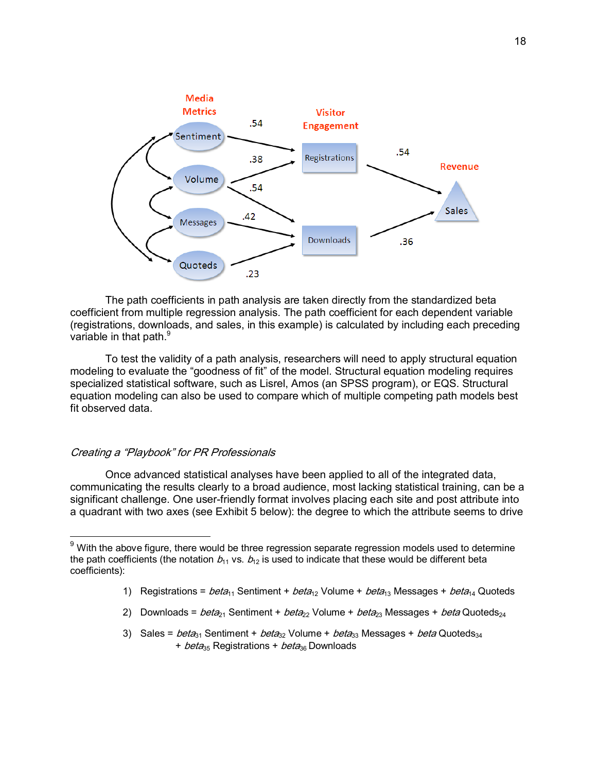

The path coefficients in path analysis are taken directly from the standardized beta coefficient from multiple regression analysis. The path coefficient for each dependent variable (registrations, downloads, and sales, in this example) is calculated by including each preceding variable in that path.<sup>9</sup>

To test the validity of a path analysis, researchers will need to apply structural equation modeling to evaluate the "goodness of fit" of the model. Structural equation modeling requires specialized statistical software, such as Lisrel, Amos (an SPSS program), or EQS. Structural equation modeling can also be used to compare which of multiple competing path models best fit observed data.

## Creating a "Playbook" for PR Professionals

-

Once advanced statistical analyses have been applied to all of the integrated data, communicating the results clearly to a broad audience, most lacking statistical training, can be a significant challenge. One user-friendly format involves placing each site and post attribute into a quadrant with two axes (see Exhibit 5 below): the degree to which the attribute seems to drive

- 2) Downloads =  $beta_{21}$  Sentiment +  $beta_{22}$  Volume +  $beta_{23}$  Messages +  $beta$ Quoteds<sub>24</sub>
- 3) Sales =  $beta_{31}$  Sentiment +  $beta_{32}$  Volume +  $beta_{33}$  Messages +  $beta$  Quoteds<sub>34</sub> + *beta*<sub>35</sub> Registrations + *beta*<sub>36</sub> Downloads

 $9$  With the above figure, there would be three regression separate regression models used to determine the path coefficients (the notation  $b_{11}$  vs.  $b_{12}$  is used to indicate that these would be different beta coefficients):

<sup>1)</sup> Registrations =  $beta_{11}$  Sentiment +  $beta_{12}$  Volume +  $beta_{13}$  Messages +  $beta_{14}$  Quoteds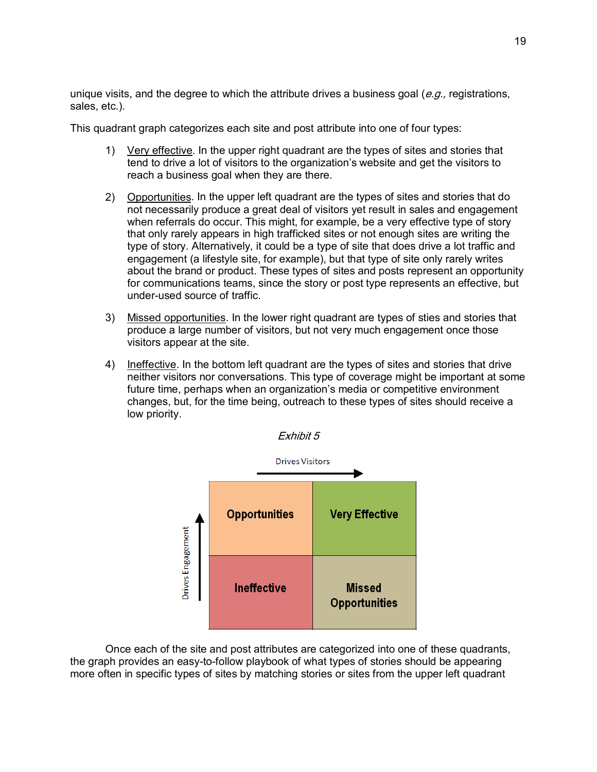unique visits, and the degree to which the attribute drives a business goal  $(e, q)$ , registrations, sales, etc.).

This quadrant graph categorizes each site and post attribute into one of four types:

- 1) Very effective. In the upper right quadrant are the types of sites and stories that tend to drive a lot of visitors to the organizationís website and get the visitors to reach a business goal when they are there.
- 2) Opportunities. In the upper left quadrant are the types of sites and stories that do not necessarily produce a great deal of visitors yet result in sales and engagement when referrals do occur. This might, for example, be a very effective type of story that only rarely appears in high trafficked sites or not enough sites are writing the type of story. Alternatively, it could be a type of site that does drive a lot traffic and engagement (a lifestyle site, for example), but that type of site only rarely writes about the brand or product. These types of sites and posts represent an opportunity for communications teams, since the story or post type represents an effective, but under-used source of traffic.
- 3) Missed opportunities. In the lower right quadrant are types of sties and stories that produce a large number of visitors, but not very much engagement once those visitors appear at the site.
- 4) Ineffective. In the bottom left quadrant are the types of sites and stories that drive neither visitors nor conversations. This type of coverage might be important at some future time, perhaps when an organization's media or competitive environment changes, but, for the time being, outreach to these types of sites should receive a low priority.



Once each of the site and post attributes are categorized into one of these quadrants, the graph provides an easy-to-follow playbook of what types of stories should be appearing more often in specific types of sites by matching stories or sites from the upper left quadrant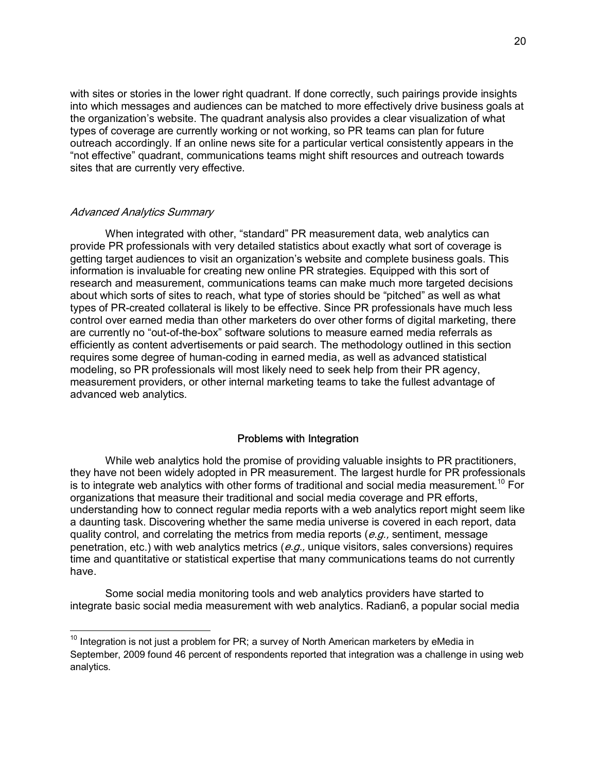with sites or stories in the lower right quadrant. If done correctly, such pairings provide insights into which messages and audiences can be matched to more effectively drive business goals at the organization's website. The quadrant analysis also provides a clear visualization of what types of coverage are currently working or not working, so PR teams can plan for future outreach accordingly. If an online news site for a particular vertical consistently appears in the "not effective" quadrant, communications teams might shift resources and outreach towards sites that are currently very effective.

## Advanced Analytics Summary

-

When integrated with other, "standard" PR measurement data, web analytics can provide PR professionals with very detailed statistics about exactly what sort of coverage is getting target audiences to visit an organization's website and complete business goals. This information is invaluable for creating new online PR strategies. Equipped with this sort of research and measurement, communications teams can make much more targeted decisions about which sorts of sites to reach, what type of stories should be "pitched" as well as what types of PR-created collateral is likely to be effective. Since PR professionals have much less control over earned media than other marketers do over other forms of digital marketing, there are currently no "out-of-the-box" software solutions to measure earned media referrals as efficiently as content advertisements or paid search. The methodology outlined in this section requires some degree of human-coding in earned media, as well as advanced statistical modeling, so PR professionals will most likely need to seek help from their PR agency, measurement providers, or other internal marketing teams to take the fullest advantage of advanced web analytics.

## Problems with Integration

While web analytics hold the promise of providing valuable insights to PR practitioners, they have not been widely adopted in PR measurement. The largest hurdle for PR professionals is to integrate web analytics with other forms of traditional and social media measurement.<sup>10</sup> For organizations that measure their traditional and social media coverage and PR efforts, understanding how to connect regular media reports with a web analytics report might seem like a daunting task. Discovering whether the same media universe is covered in each report, data quality control, and correlating the metrics from media reports  $(e.a.,$  sentiment, message penetration, etc.) with web analytics metrics ( $e.g.,$  unique visitors, sales conversions) requires time and quantitative or statistical expertise that many communications teams do not currently have.

Some social media monitoring tools and web analytics providers have started to integrate basic social media measurement with web analytics. Radian6, a popular social media

 $10$  Integration is not just a problem for PR; a survey of North American marketers by eMedia in September, 2009 found 46 percent of respondents reported that integration was a challenge in using web analytics.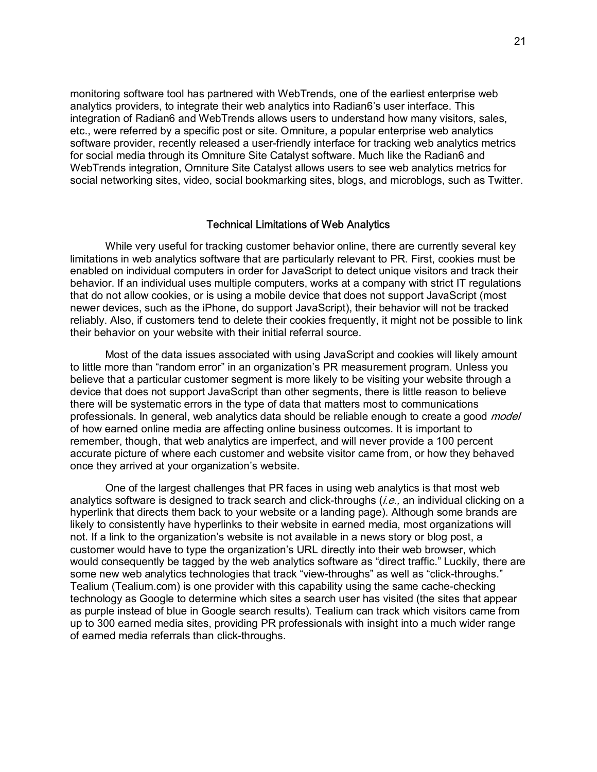monitoring software tool has partnered with WebTrends, one of the earliest enterprise web analytics providers, to integrate their web analytics into Radian6ís user interface. This integration of Radian6 and WebTrends allows users to understand how many visitors, sales, etc., were referred by a specific post or site. Omniture, a popular enterprise web analytics software provider, recently released a user-friendly interface for tracking web analytics metrics for social media through its Omniture Site Catalyst software. Much like the Radian6 and WebTrends integration, Omniture Site Catalyst allows users to see web analytics metrics for social networking sites, video, social bookmarking sites, blogs, and microblogs, such as Twitter.

#### Technical Limitations of Web Analytics

While very useful for tracking customer behavior online, there are currently several key limitations in web analytics software that are particularly relevant to PR. First, cookies must be enabled on individual computers in order for JavaScript to detect unique visitors and track their behavior. If an individual uses multiple computers, works at a company with strict IT regulations that do not allow cookies, or is using a mobile device that does not support JavaScript (most newer devices, such as the iPhone, do support JavaScript), their behavior will not be tracked reliably. Also, if customers tend to delete their cookies frequently, it might not be possible to link their behavior on your website with their initial referral source.

Most of the data issues associated with using JavaScript and cookies will likely amount to little more than "random error" in an organization's PR measurement program. Unless you believe that a particular customer segment is more likely to be visiting your website through a device that does not support JavaScript than other segments, there is little reason to believe there will be systematic errors in the type of data that matters most to communications professionals. In general, web analytics data should be reliable enough to create a good *model* of how earned online media are affecting online business outcomes. It is important to remember, though, that web analytics are imperfect, and will never provide a 100 percent accurate picture of where each customer and website visitor came from, or how they behaved once they arrived at your organization's website.

One of the largest challenges that PR faces in using web analytics is that most web analytics software is designed to track search and click-throughs  $(i.e.,$  an individual clicking on a hyperlink that directs them back to your website or a landing page). Although some brands are likely to consistently have hyperlinks to their website in earned media, most organizations will not. If a link to the organization's website is not available in a news story or blog post, a customer would have to type the organizationís URL directly into their web browser, which would consequently be tagged by the web analytics software as "direct traffic." Luckily, there are some new web analytics technologies that track "view-throughs" as well as "click-throughs." Tealium (Tealium.com) is one provider with this capability using the same cache-checking technology as Google to determine which sites a search user has visited (the sites that appear as purple instead of blue in Google search results). Tealium can track which visitors came from up to 300 earned media sites, providing PR professionals with insight into a much wider range of earned media referrals than click-throughs.